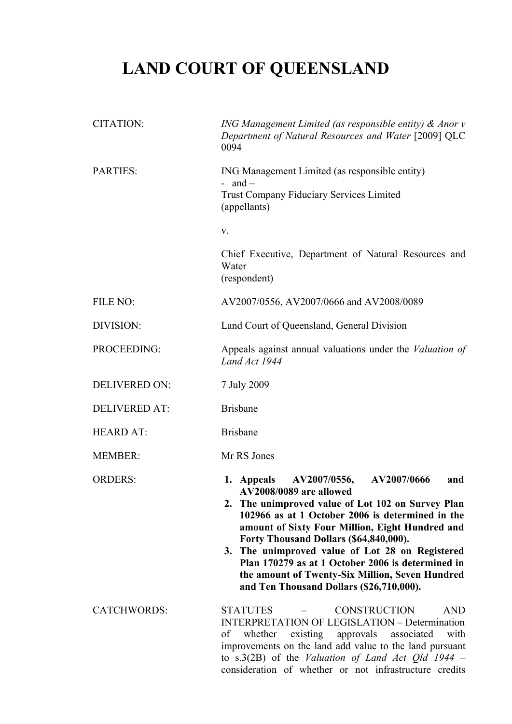# **LAND COURT OF QUEENSLAND**

| <b>CITATION:</b>     | ING Management Limited (as responsible entity) $\&$ Anor $v$<br>Department of Natural Resources and Water [2009] QLC<br>0094                                                                                                                                                                                                                                                                                                                                                          |  |  |  |  |  |
|----------------------|---------------------------------------------------------------------------------------------------------------------------------------------------------------------------------------------------------------------------------------------------------------------------------------------------------------------------------------------------------------------------------------------------------------------------------------------------------------------------------------|--|--|--|--|--|
| <b>PARTIES:</b>      | ING Management Limited (as responsible entity)<br>- and $-$                                                                                                                                                                                                                                                                                                                                                                                                                           |  |  |  |  |  |
|                      | <b>Trust Company Fiduciary Services Limited</b><br>(appellants)                                                                                                                                                                                                                                                                                                                                                                                                                       |  |  |  |  |  |
|                      | V.                                                                                                                                                                                                                                                                                                                                                                                                                                                                                    |  |  |  |  |  |
|                      | Chief Executive, Department of Natural Resources and<br>Water<br>(respondent)                                                                                                                                                                                                                                                                                                                                                                                                         |  |  |  |  |  |
| FILE NO:             | AV2007/0556, AV2007/0666 and AV2008/0089                                                                                                                                                                                                                                                                                                                                                                                                                                              |  |  |  |  |  |
| DIVISION:            | Land Court of Queensland, General Division                                                                                                                                                                                                                                                                                                                                                                                                                                            |  |  |  |  |  |
| PROCEEDING:          | Appeals against annual valuations under the Valuation of<br>Land Act 1944                                                                                                                                                                                                                                                                                                                                                                                                             |  |  |  |  |  |
| <b>DELIVERED ON:</b> | 7 July 2009                                                                                                                                                                                                                                                                                                                                                                                                                                                                           |  |  |  |  |  |
| <b>DELIVERED AT:</b> | <b>Brisbane</b>                                                                                                                                                                                                                                                                                                                                                                                                                                                                       |  |  |  |  |  |
| <b>HEARD AT:</b>     | <b>Brisbane</b>                                                                                                                                                                                                                                                                                                                                                                                                                                                                       |  |  |  |  |  |
| <b>MEMBER:</b>       | Mr RS Jones                                                                                                                                                                                                                                                                                                                                                                                                                                                                           |  |  |  |  |  |
| <b>ORDERS:</b>       | 1. Appeals AV2007/0556,<br>AV2007/0666<br>and<br>AV2008/0089 are allowed<br>2. The unimproved value of Lot 102 on Survey Plan<br>102966 as at 1 October 2006 is determined in the<br>amount of Sixty Four Million, Eight Hundred and<br>Forty Thousand Dollars (\$64,840,000).<br>3. The unimproved value of Lot 28 on Registered<br>Plan 170279 as at 1 October 2006 is determined in<br>the amount of Twenty-Six Million, Seven Hundred<br>and Ten Thousand Dollars (\$26,710,000). |  |  |  |  |  |
| <b>CATCHWORDS:</b>   | <b>STATUTES</b><br><b>CONSTRUCTION</b><br><b>AND</b><br><b>INTERPRETATION OF LEGISLATION – Determination</b><br>existing approvals<br>whether<br>associated<br>with<br>οf<br>improvements on the land add value to the land pursuant<br>to s.3(2B) of the Valuation of Land Act Qld 1944 –<br>consideration of whether or not infrastructure credits                                                                                                                                  |  |  |  |  |  |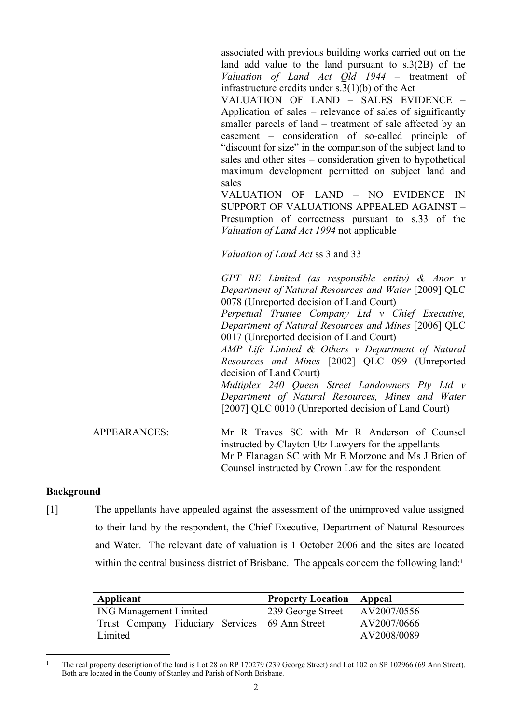associated with previous building works carried out on the land add value to the land pursuant to s.3(2B) of the *Valuation of Land Act Qld 1944* – treatment of infrastructure credits under s.3(1)(b) of the Act

VALUATION OF LAND – SALES EVIDENCE – Application of sales – relevance of sales of significantly smaller parcels of land – treatment of sale affected by an easement – consideration of so-called principle of "discount for size" in the comparison of the subject land to sales and other sites – consideration given to hypothetical maximum development permitted on subject land and sales

VALUATION OF LAND – NO EVIDENCE IN SUPPORT OF VALUATIONS APPEALED AGAINST – Presumption of correctness pursuant to s.33 of the *Valuation of Land Act 1994* not applicable

Mr P Flanagan SC with Mr E Morzone and Ms J Brien of

Counsel instructed by Crown Law for the respondent

*Valuation of Land Act* ss 3 and 33

*GPT RE Limited (as responsible entity) & Anor v Department of Natural Resources and Water* [2009] QLC 0078 (Unreported decision of Land Court) *Perpetual Trustee Company Ltd v Chief Executive, Department of Natural Resources and Mines* [2006] QLC 0017 (Unreported decision of Land Court) *AMP Life Limited & Others v Department of Natural Resources and Mines* [2002] QLC 099 (Unreported decision of Land Court) *Multiplex 240 Queen Street Landowners Pty Ltd v Department of Natural Resources, Mines and Water* [2007] QLC 0010 (Unreported decision of Land Court) APPEARANCES: Mr R Traves SC with Mr R Anderson of Counsel instructed by Clayton Utz Lawyers for the appellants

## **Background**

[1] The appellants have appealed against the assessment of the unimproved value assigned to their land by the respondent, the Chief Executive, Department of Natural Resources and Water. The relevant date of valuation is 1 October 2006 and the sites are located within the central business district of Brisbane. The appeals concern the following land:<sup>1</sup>

| Applicant                                        | <b>Property Location</b> | Appeal              |
|--------------------------------------------------|--------------------------|---------------------|
| <b>ING Management Limited</b>                    | 239 George Street        | $\vert$ AV2007/0556 |
| Trust Company Fiduciary Services   69 Ann Street |                          | AV2007/0666         |
| Limited                                          |                          | AV2008/0089         |

<sup>1</sup> The real property description of the land is Lot 28 on RP 170279 (239 George Street) and Lot 102 on SP 102966 (69 Ann Street). Both are located in the County of Stanley and Parish of North Brisbane.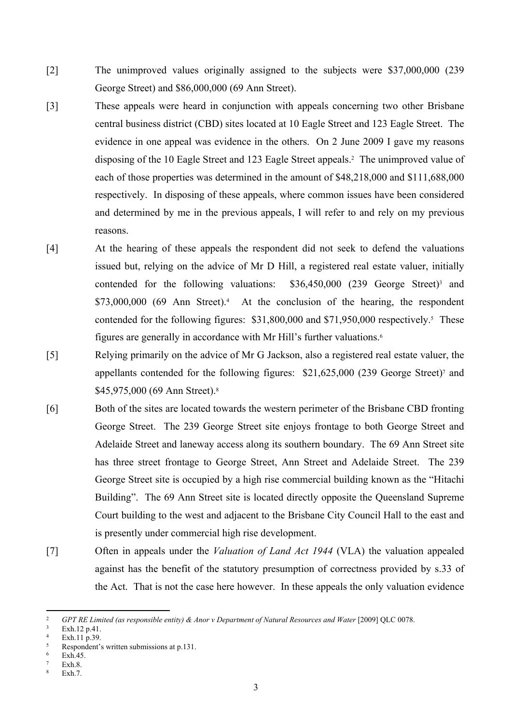- [2] The unimproved values originally assigned to the subjects were \$37,000,000 (239 George Street) and \$86,000,000 (69 Ann Street).
- [3] These appeals were heard in conjunction with appeals concerning two other Brisbane central business district (CBD) sites located at 10 Eagle Street and 123 Eagle Street. The evidence in one appeal was evidence in the others. On 2 June 2009 I gave my reasons disposing of the 10 Eagle Street and 123 Eagle Street appeals.<sup>2</sup> The unimproved value of each of those properties was determined in the amount of \$48,218,000 and \$111,688,000 respectively. In disposing of these appeals, where common issues have been considered and determined by me in the previous appeals, I will refer to and rely on my previous reasons.
- [4] At the hearing of these appeals the respondent did not seek to defend the valuations issued but, relying on the advice of Mr D Hill, a registered real estate valuer, initially contended for the following valuations:  $$36,450,000$  (239 George Street)<sup>3</sup> and \$73,000,000 (69 Ann Street).<sup>4</sup> At the conclusion of the hearing, the respondent contended for the following figures: \$31,800,000 and \$71,950,000 respectively.<sup>5</sup> These figures are generally in accordance with Mr Hill's further valuations.<sup>6</sup>
- [5] Relying primarily on the advice of Mr G Jackson, also a registered real estate valuer, the appellants contended for the following figures: \$21,625,000 (239 George Street)<sup>7</sup> and \$45,975,000 (69 Ann Street).<sup>8</sup>
- [6] Both of the sites are located towards the western perimeter of the Brisbane CBD fronting George Street. The 239 George Street site enjoys frontage to both George Street and Adelaide Street and laneway access along its southern boundary. The 69 Ann Street site has three street frontage to George Street, Ann Street and Adelaide Street. The 239 George Street site is occupied by a high rise commercial building known as the "Hitachi Building". The 69 Ann Street site is located directly opposite the Queensland Supreme Court building to the west and adjacent to the Brisbane City Council Hall to the east and is presently under commercial high rise development.
- [7] Often in appeals under the *Valuation of Land Act 1944* (VLA) the valuation appealed against has the benefit of the statutory presumption of correctness provided by s.33 of the Act. That is not the case here however. In these appeals the only valuation evidence

<sup>&</sup>lt;sup>2</sup> *GPT RE Limited (as responsible entity) & Anor v Department of Natural Resources and Water* [2009] QLC 0078.

<sup>3</sup> Exh.12 p.41.

<sup>4</sup> Exh.  $11 \overline{\text{n}}$  39.

<sup>5</sup> Respondent's written submissions at p.131.

<sup>6</sup> Exh.45.

<sup>7</sup> Exh.8.

<sup>8</sup> Exh.7.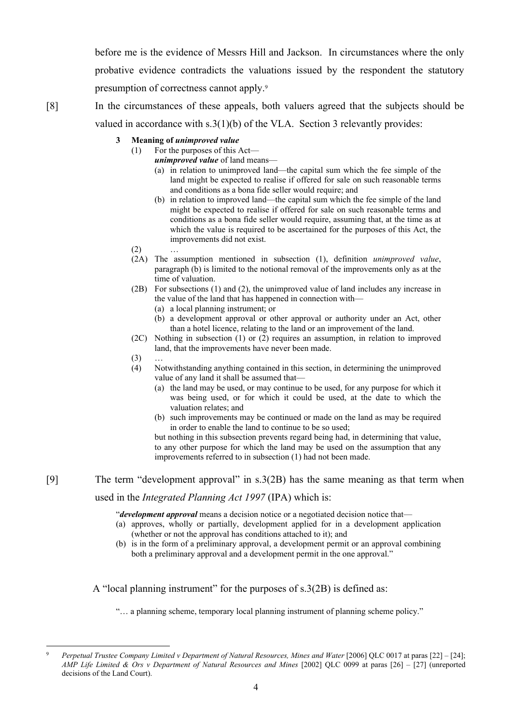before me is the evidence of Messrs Hill and Jackson. In circumstances where the only probative evidence contradicts the valuations issued by the respondent the statutory presumption of correctness cannot apply.<sup>9</sup>

- [8] In the circumstances of these appeals, both valuers agreed that the subjects should be valued in accordance with s.3(1)(b) of the VLA. Section 3 relevantly provides:
	- **3 Meaning of** *unimproved value*
		- (1) For the purposes of this Act
			- *unimproved value* of land means—
			- (a) in relation to unimproved land—the capital sum which the fee simple of the land might be expected to realise if offered for sale on such reasonable terms and conditions as a bona fide seller would require; and
			- (b) in relation to improved land—the capital sum which the fee simple of the land might be expected to realise if offered for sale on such reasonable terms and conditions as a bona fide seller would require, assuming that, at the time as at which the value is required to be ascertained for the purposes of this Act, the improvements did not exist.
		- $(2)$
		- (2A) The assumption mentioned in subsection (1), definition *unimproved value*, paragraph (b) is limited to the notional removal of the improvements only as at the time of valuation.
		- (2B) For subsections (1) and (2), the unimproved value of land includes any increase in the value of the land that has happened in connection with—
			- (a) a local planning instrument; or
			- (b) a development approval or other approval or authority under an Act, other than a hotel licence, relating to the land or an improvement of the land.
		- (2C) Nothing in subsection (1) or (2) requires an assumption, in relation to improved land, that the improvements have never been made.
		- $(3)$
		- (4) Notwithstanding anything contained in this section, in determining the unimproved value of any land it shall be assumed that—
			- (a) the land may be used, or may continue to be used, for any purpose for which it was being used, or for which it could be used, at the date to which the valuation relates; and
			- (b) such improvements may be continued or made on the land as may be required in order to enable the land to continue to be so used;

but nothing in this subsection prevents regard being had, in determining that value, to any other purpose for which the land may be used on the assumption that any improvements referred to in subsection (1) had not been made.

[9] The term "development approval" in s.3(2B) has the same meaning as that term when

used in the *Integrated Planning Act 1997* (IPA) which is:

"*development approval* means a decision notice or a negotiated decision notice that—

- (a) approves, wholly or partially, development applied for in a development application (whether or not the approval has conditions attached to it); and
- (b) is in the form of a preliminary approval, a development permit or an approval combining both a preliminary approval and a development permit in the one approval."

A "local planning instrument" for the purposes of s.3(2B) is defined as:

"… a planning scheme, temporary local planning instrument of planning scheme policy."

<sup>9</sup> *Perpetual Trustee Company Limited v Department of Natural Resources, Mines and Water* [2006] QLC 0017 at paras [22] – [24]; *AMP Life Limited & Ors v Department of Natural Resources and Mines* [2002] QLC 0099 at paras [26] – [27] (unreported decisions of the Land Court).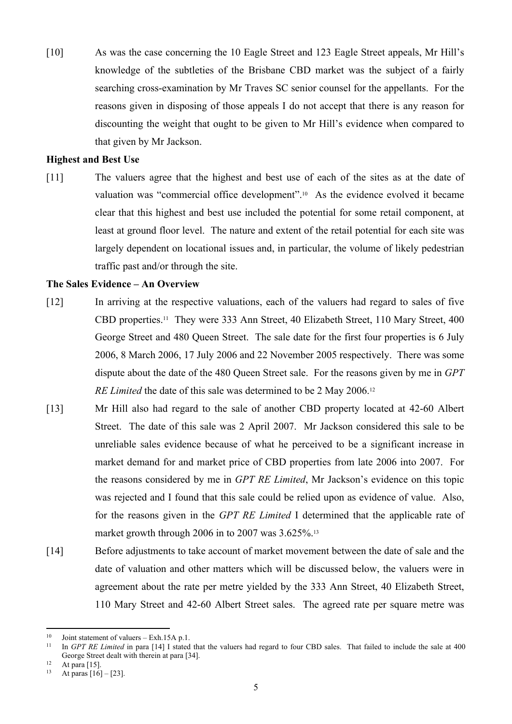[10] As was the case concerning the 10 Eagle Street and 123 Eagle Street appeals, Mr Hill's knowledge of the subtleties of the Brisbane CBD market was the subject of a fairly searching cross-examination by Mr Traves SC senior counsel for the appellants. For the reasons given in disposing of those appeals I do not accept that there is any reason for discounting the weight that ought to be given to Mr Hill's evidence when compared to that given by Mr Jackson.

## **Highest and Best Use**

[11] The valuers agree that the highest and best use of each of the sites as at the date of valuation was "commercial office development".10 As the evidence evolved it became clear that this highest and best use included the potential for some retail component, at least at ground floor level. The nature and extent of the retail potential for each site was largely dependent on locational issues and, in particular, the volume of likely pedestrian traffic past and/or through the site.

## **The Sales Evidence – An Overview**

- [12] In arriving at the respective valuations, each of the valuers had regard to sales of five CBD properties.11 They were 333 Ann Street, 40 Elizabeth Street, 110 Mary Street, 400 George Street and 480 Queen Street. The sale date for the first four properties is 6 July 2006, 8 March 2006, 17 July 2006 and 22 November 2005 respectively. There was some dispute about the date of the 480 Queen Street sale. For the reasons given by me in *GPT RE Limited* the date of this sale was determined to be 2 May 2006.<sup>12</sup>
- [13] Mr Hill also had regard to the sale of another CBD property located at 42-60 Albert Street. The date of this sale was 2 April 2007. Mr Jackson considered this sale to be unreliable sales evidence because of what he perceived to be a significant increase in market demand for and market price of CBD properties from late 2006 into 2007. For the reasons considered by me in *GPT RE Limited*, Mr Jackson's evidence on this topic was rejected and I found that this sale could be relied upon as evidence of value. Also, for the reasons given in the *GPT RE Limited* I determined that the applicable rate of market growth through 2006 in to 2007 was  $3.625\%$ .<sup>13</sup>
- [14] Before adjustments to take account of market movement between the date of sale and the date of valuation and other matters which will be discussed below, the valuers were in agreement about the rate per metre yielded by the 333 Ann Street, 40 Elizabeth Street, 110 Mary Street and 42-60 Albert Street sales. The agreed rate per square metre was

<sup>&</sup>lt;sup>10</sup> Joint statement of valuers – Exh. 15A p. 1.

<sup>11</sup> In *GPT RE Limited* in para [14] I stated that the valuers had regard to four CBD sales. That failed to include the sale at 400 George Street dealt with therein at para [34].

 $12$  At para [15].

At paras  $[16] - [23]$ .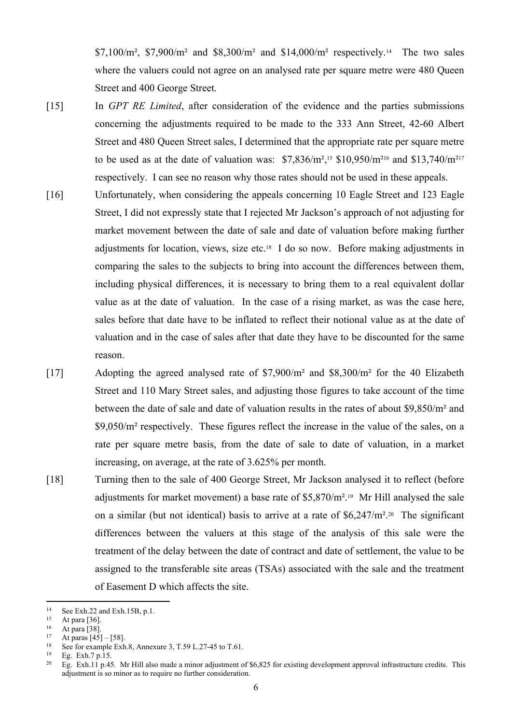\$7,100/ $\text{m}^2$ , \$7,900/ $\text{m}^2$  and \$8,300/ $\text{m}^2$  and \$14,000/ $\text{m}^2$  respectively.<sup>14</sup> The two sales where the valuers could not agree on an analysed rate per square metre were 480 Queen Street and 400 George Street.

- [15] In *GPT RE Limited*, after consideration of the evidence and the parties submissions concerning the adjustments required to be made to the 333 Ann Street, 42-60 Albert Street and 480 Queen Street sales, I determined that the appropriate rate per square metre to be used as at the date of valuation was:  $$7,836/m^2$ ,<sup>15</sup> \$10,950/m<sup>216</sup> and \$13,740/m<sup>217</sup> respectively. I can see no reason why those rates should not be used in these appeals.
- [16] Unfortunately, when considering the appeals concerning 10 Eagle Street and 123 Eagle Street, I did not expressly state that I rejected Mr Jackson's approach of not adjusting for market movement between the date of sale and date of valuation before making further adjustments for location, views, size etc.18 I do so now. Before making adjustments in comparing the sales to the subjects to bring into account the differences between them, including physical differences, it is necessary to bring them to a real equivalent dollar value as at the date of valuation. In the case of a rising market, as was the case here, sales before that date have to be inflated to reflect their notional value as at the date of valuation and in the case of sales after that date they have to be discounted for the same reason.

[17] Adopting the agreed analysed rate of \$7,900/m² and \$8,300/m² for the 40 Elizabeth Street and 110 Mary Street sales, and adjusting those figures to take account of the time between the date of sale and date of valuation results in the rates of about \$9,850/m² and \$9,050/m² respectively. These figures reflect the increase in the value of the sales, on a rate per square metre basis, from the date of sale to date of valuation, in a market increasing, on average, at the rate of 3.625% per month.

[18] Turning then to the sale of 400 George Street, Mr Jackson analysed it to reflect (before adjustments for market movement) a base rate of \$5,870/m².19 Mr Hill analysed the sale on a similar (but not identical) basis to arrive at a rate of  $$6,247/m^2$ .<sup>20</sup> The significant differences between the valuers at this stage of the analysis of this sale were the treatment of the delay between the date of contract and date of settlement, the value to be assigned to the transferable site areas (TSAs) associated with the sale and the treatment of Easement D which affects the site.

<sup>&</sup>lt;sup>14</sup> See Exh.22 and Exh.15B, p.1.<br><sup>15</sup> At pers [26]

 $15$  At para [36].

 $16$  At para [38].

At paras  $[45] - [58]$ .

<sup>&</sup>lt;sup>18</sup> See for example Exh.8, Annexure 3, T.59 L.27-45 to T.61.<br><sup>19</sup> Eq. Exh.7 p.15

 $^{19}$  Eg. Exh.7 p.15.<br>  $^{20}$  Eg. Exh 11 p.44

Eg. Exh.11 p.45. Mr Hill also made a minor adjustment of  $$6,825$  for existing development approval infrastructure credits. This adjustment is so minor as to require no further consideration.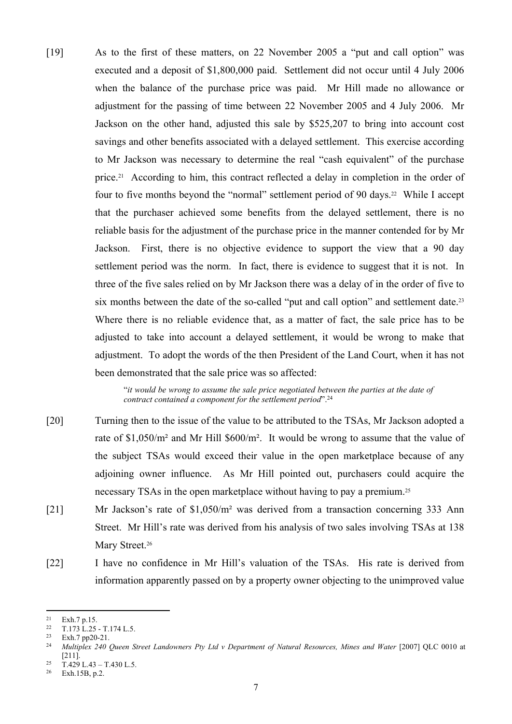[19] As to the first of these matters, on 22 November 2005 a "put and call option" was executed and a deposit of \$1,800,000 paid. Settlement did not occur until 4 July 2006 when the balance of the purchase price was paid. Mr Hill made no allowance or adjustment for the passing of time between 22 November 2005 and 4 July 2006. Mr Jackson on the other hand, adjusted this sale by \$525,207 to bring into account cost savings and other benefits associated with a delayed settlement. This exercise according to Mr Jackson was necessary to determine the real "cash equivalent" of the purchase price.<sup>21</sup> According to him, this contract reflected a delay in completion in the order of four to five months beyond the "normal" settlement period of 90 days.<sup>22</sup> While I accept that the purchaser achieved some benefits from the delayed settlement, there is no reliable basis for the adjustment of the purchase price in the manner contended for by Mr Jackson. First, there is no objective evidence to support the view that a 90 day settlement period was the norm. In fact, there is evidence to suggest that it is not. In three of the five sales relied on by Mr Jackson there was a delay of in the order of five to six months between the date of the so-called "put and call option" and settlement date.<sup>23</sup> Where there is no reliable evidence that, as a matter of fact, the sale price has to be adjusted to take into account a delayed settlement, it would be wrong to make that adjustment. To adopt the words of the then President of the Land Court, when it has not been demonstrated that the sale price was so affected:

> "*it would be wrong to assume the sale price negotiated between the parties at the date of contract contained a component for the settlement period*".<sup>24</sup>

- [20] Turning then to the issue of the value to be attributed to the TSAs, Mr Jackson adopted a rate of \$1,050/m² and Mr Hill \$600/m². It would be wrong to assume that the value of the subject TSAs would exceed their value in the open marketplace because of any adjoining owner influence. As Mr Hill pointed out, purchasers could acquire the necessary TSAs in the open marketplace without having to pay a premium.<sup>25</sup>
- [21] Mr Jackson's rate of \$1,050/m² was derived from a transaction concerning 333 Ann Street. Mr Hill's rate was derived from his analysis of two sales involving TSAs at 138 Mary Street.<sup>26</sup>
- [22] I have no confidence in Mr Hill's valuation of the TSAs. His rate is derived from information apparently passed on by a property owner objecting to the unimproved value

 $\frac{21}{22}$  Exh. 7 p.15.

<sup>&</sup>lt;sup>22</sup> T.173 L.25 - T.174 L.5.<br><sup>23</sup> Eyb 7 pp?0-21

Exh.7 pp20-21.

<sup>24</sup> *Multiplex 240 Queen Street Landowners Pty Ltd v Department of Natural Resources, Mines and Water* [2007] QLC 0010 at [211].

<sup>&</sup>lt;sup>25</sup> T.429 L.43 – T.430 L.5.<br><sup>26</sup> Exh 15P p.2

Exh.15B, p.2.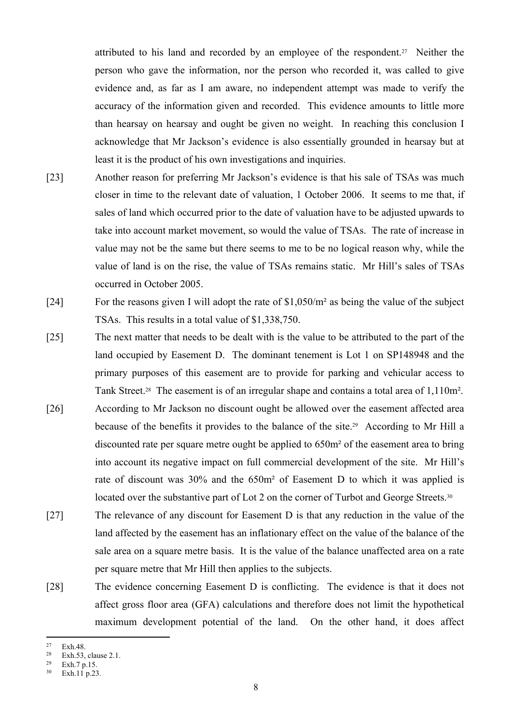attributed to his land and recorded by an employee of the respondent.<sup>27</sup> Neither the person who gave the information, nor the person who recorded it, was called to give evidence and, as far as I am aware, no independent attempt was made to verify the accuracy of the information given and recorded. This evidence amounts to little more than hearsay on hearsay and ought be given no weight. In reaching this conclusion I acknowledge that Mr Jackson's evidence is also essentially grounded in hearsay but at least it is the product of his own investigations and inquiries.

- [23] Another reason for preferring Mr Jackson's evidence is that his sale of TSAs was much closer in time to the relevant date of valuation, 1 October 2006. It seems to me that, if sales of land which occurred prior to the date of valuation have to be adjusted upwards to take into account market movement, so would the value of TSAs. The rate of increase in value may not be the same but there seems to me to be no logical reason why, while the value of land is on the rise, the value of TSAs remains static. Mr Hill's sales of TSAs occurred in October 2005.
- [24] For the reasons given I will adopt the rate of \$1,050/m² as being the value of the subject TSAs. This results in a total value of \$1,338,750.
- [25] The next matter that needs to be dealt with is the value to be attributed to the part of the land occupied by Easement D. The dominant tenement is Lot 1 on SP148948 and the primary purposes of this easement are to provide for parking and vehicular access to Tank Street.28 The easement is of an irregular shape and contains a total area of 1,110m².
- [26] According to Mr Jackson no discount ought be allowed over the easement affected area because of the benefits it provides to the balance of the site.29 According to Mr Hill a discounted rate per square metre ought be applied to 650m² of the easement area to bring into account its negative impact on full commercial development of the site. Mr Hill's rate of discount was 30% and the 650m² of Easement D to which it was applied is located over the substantive part of Lot 2 on the corner of Turbot and George Streets.<sup>30</sup>
- [27] The relevance of any discount for Easement D is that any reduction in the value of the land affected by the easement has an inflationary effect on the value of the balance of the sale area on a square metre basis. It is the value of the balance unaffected area on a rate per square metre that Mr Hill then applies to the subjects.
- [28] The evidence concerning Easement D is conflicting. The evidence is that it does not affect gross floor area (GFA) calculations and therefore does not limit the hypothetical maximum development potential of the land. On the other hand, it does affect

 $27$  Exh. 48.

<sup>&</sup>lt;sup>28</sup> Exh.53, clause 2.1.<br><sup>29</sup> Exh.7 p.15

 $rac{29}{30}$  Exh. 7 p. 15.

Exh.11  $p.23$ .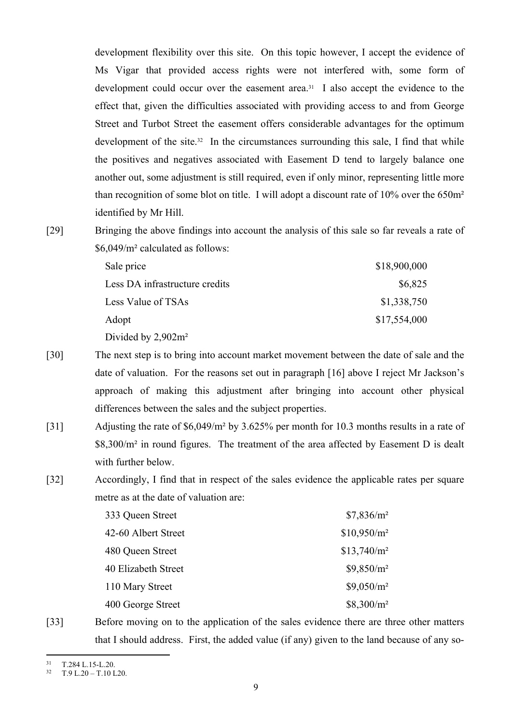development flexibility over this site. On this topic however, I accept the evidence of Ms Vigar that provided access rights were not interfered with, some form of development could occur over the easement area.31 I also accept the evidence to the effect that, given the difficulties associated with providing access to and from George Street and Turbot Street the easement offers considerable advantages for the optimum development of the site.<sup>32</sup> In the circumstances surrounding this sale, I find that while the positives and negatives associated with Easement D tend to largely balance one another out, some adjustment is still required, even if only minor, representing little more than recognition of some blot on title. I will adopt a discount rate of 10% over the 650m² identified by Mr Hill.

[29] Bringing the above findings into account the analysis of this sale so far reveals a rate of \$6,049/m² calculated as follows:

| Sale price                     | \$18,900,000 |
|--------------------------------|--------------|
| Less DA infrastructure credits | \$6,825      |
| Less Value of TSAs             | \$1,338,750  |
| Adopt                          | \$17,554,000 |
| D: 11 2002 2                   |              |

Divided by 2,902m²

- [30] The next step is to bring into account market movement between the date of sale and the date of valuation. For the reasons set out in paragraph [16] above I reject Mr Jackson's approach of making this adjustment after bringing into account other physical differences between the sales and the subject properties.
- [31] Adjusting the rate of \$6,049/m² by 3.625% per month for 10.3 months results in a rate of \$8,300/m² in round figures. The treatment of the area affected by Easement D is dealt with further below.
- [32] Accordingly, I find that in respect of the sales evidence the applicable rates per square metre as at the date of valuation are:

| 333 Queen Street    | \$7,836/m <sup>2</sup> |
|---------------------|------------------------|
| 42-60 Albert Street | $$10,950/m^2$          |
| 480 Queen Street    | $$13,740/m^2$          |
| 40 Elizabeth Street | $$9,850/m^2$           |
| 110 Mary Street     | $$9,050/m^2$           |
| 400 George Street   | $$8,300/m^2$           |

[33] Before moving on to the application of the sales evidence there are three other matters that I should address. First, the added value (if any) given to the land because of any so-

 $^{31}$  T.284 L.15-L.20.

<sup>32</sup> T.9 L.20 – T.10 L20.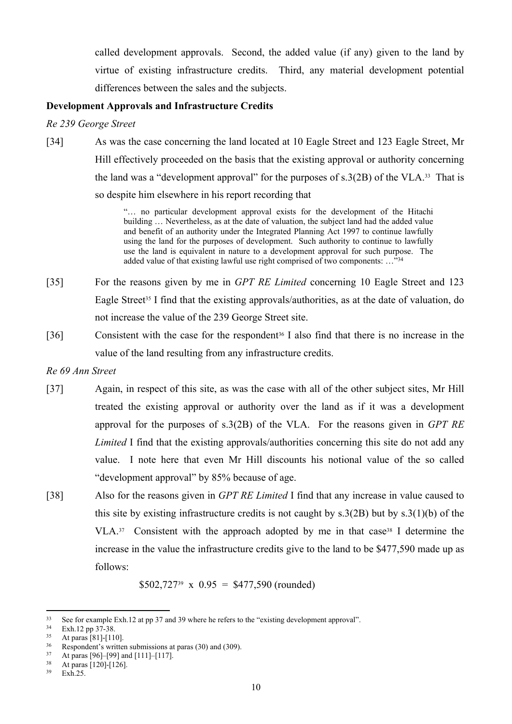called development approvals. Second, the added value (if any) given to the land by virtue of existing infrastructure credits. Third, any material development potential differences between the sales and the subjects.

## **Development Approvals and Infrastructure Credits**

*Re 239 George Street*

[34] As was the case concerning the land located at 10 Eagle Street and 123 Eagle Street, Mr Hill effectively proceeded on the basis that the existing approval or authority concerning the land was a "development approval" for the purposes of  $s.3(2B)$  of the VLA.<sup>33</sup> That is so despite him elsewhere in his report recording that

> "… no particular development approval exists for the development of the Hitachi building ... Nevertheless, as at the date of valuation, the subject land had the added value and benefit of an authority under the Integrated Planning Act 1997 to continue lawfully using the land for the purposes of development. Such authority to continue to lawfully use the land is equivalent in nature to a development approval for such purpose. The added value of that existing lawful use right comprised of two components:  $\ldots$ <sup>34</sup>

- [35] For the reasons given by me in *GPT RE Limited* concerning 10 Eagle Street and 123 Eagle Street<sup>35</sup> I find that the existing approvals/authorities, as at the date of valuation, do not increase the value of the 239 George Street site.
- [36] Consistent with the case for the respondent<sup>36</sup> I also find that there is no increase in the value of the land resulting from any infrastructure credits.

#### *Re 69 Ann Street*

- [37] Again, in respect of this site, as was the case with all of the other subject sites, Mr Hill treated the existing approval or authority over the land as if it was a development approval for the purposes of s.3(2B) of the VLA. For the reasons given in *GPT RE Limited* I find that the existing approvals/authorities concerning this site do not add any value. I note here that even Mr Hill discounts his notional value of the so called "development approval" by 85% because of age.
- [38] Also for the reasons given in *GPT RE Limited* I find that any increase in value caused to this site by existing infrastructure credits is not caught by  $s.3(2B)$  but by  $s.3(1)(b)$  of the VLA. $37$  Consistent with the approach adopted by me in that case<sup>38</sup> I determine the increase in the value the infrastructure credits give to the land to be \$477,590 made up as follows:

 $$502,727^{39} \times 0.95 = $477,590 \text{ (rounded)}$ 

<sup>&</sup>lt;sup>33</sup> See for example Exh.12 at pp 37 and 39 where he refers to the "existing development approval".<br><sup>34</sup> Exh 12 pp  $37.38$ 

 $rac{34}{35}$  Exh.12 pp 37-38.

At paras  $\hat{[81]}$ - $[110]$ .

<sup>&</sup>lt;sup>36</sup> Respondent's written submissions at paras (30) and (309).<br><sup>37</sup> At paras [96], [99] and [1111 [117]

 $37$  At paras [96]–[99] and [111]–[117].

 $38$  At paras [120]-[126].

Exh.25.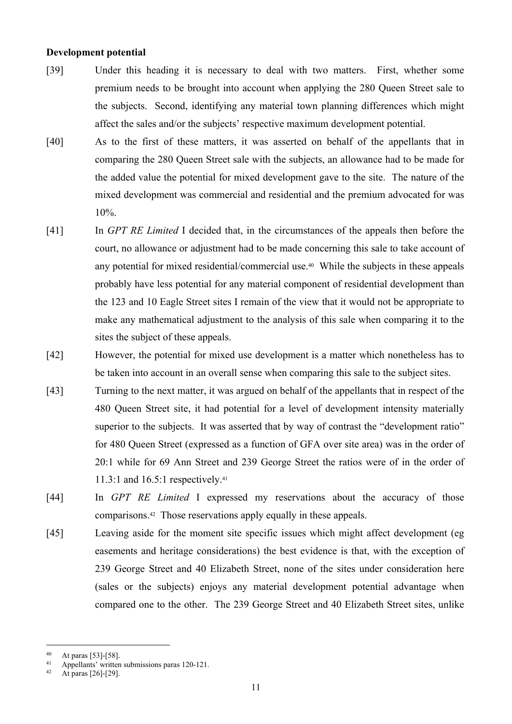## **Development potential**

- [39] Under this heading it is necessary to deal with two matters. First, whether some premium needs to be brought into account when applying the 280 Queen Street sale to the subjects. Second, identifying any material town planning differences which might affect the sales and/or the subjects' respective maximum development potential.
- [40] As to the first of these matters, it was asserted on behalf of the appellants that in comparing the 280 Queen Street sale with the subjects, an allowance had to be made for the added value the potential for mixed development gave to the site. The nature of the mixed development was commercial and residential and the premium advocated for was 10%.
- [41] In *GPT RE Limited* I decided that, in the circumstances of the appeals then before the court, no allowance or adjustment had to be made concerning this sale to take account of any potential for mixed residential/commercial use.40 While the subjects in these appeals probably have less potential for any material component of residential development than the 123 and 10 Eagle Street sites I remain of the view that it would not be appropriate to make any mathematical adjustment to the analysis of this sale when comparing it to the sites the subject of these appeals.
- [42] However, the potential for mixed use development is a matter which nonetheless has to be taken into account in an overall sense when comparing this sale to the subject sites.
- [43] Turning to the next matter, it was argued on behalf of the appellants that in respect of the 480 Queen Street site, it had potential for a level of development intensity materially superior to the subjects. It was asserted that by way of contrast the "development ratio" for 480 Queen Street (expressed as a function of GFA over site area) was in the order of 20:1 while for 69 Ann Street and 239 George Street the ratios were of in the order of 11.3:1 and 16.5:1 respectively.<sup>41</sup>
- [44] In *GPT RE Limited* I expressed my reservations about the accuracy of those comparisons.42 Those reservations apply equally in these appeals.
- [45] Leaving aside for the moment site specific issues which might affect development (eg easements and heritage considerations) the best evidence is that, with the exception of 239 George Street and 40 Elizabeth Street, none of the sites under consideration here (sales or the subjects) enjoys any material development potential advantage when compared one to the other. The 239 George Street and 40 Elizabeth Street sites, unlike

<sup>40</sup> At paras [53]-[58].

<sup>41</sup> Appellants' written submissions paras 120-121.

At paras [26]-[29].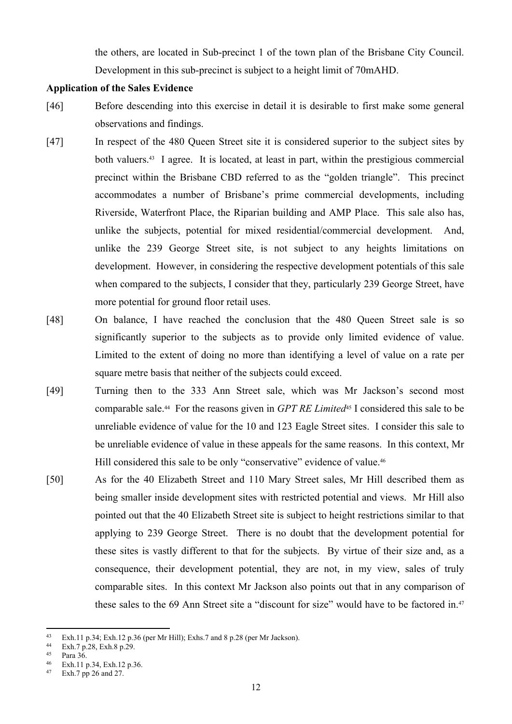the others, are located in Sub-precinct 1 of the town plan of the Brisbane City Council. Development in this sub-precinct is subject to a height limit of 70mAHD.

## **Application of the Sales Evidence**

- [46] Before descending into this exercise in detail it is desirable to first make some general observations and findings.
- [47] In respect of the 480 Queen Street site it is considered superior to the subject sites by both valuers.<sup>43</sup> I agree. It is located, at least in part, within the prestigious commercial precinct within the Brisbane CBD referred to as the "golden triangle". This precinct accommodates a number of Brisbane's prime commercial developments, including Riverside, Waterfront Place, the Riparian building and AMP Place. This sale also has, unlike the subjects, potential for mixed residential/commercial development. And, unlike the 239 George Street site, is not subject to any heights limitations on development. However, in considering the respective development potentials of this sale when compared to the subjects, I consider that they, particularly 239 George Street, have more potential for ground floor retail uses.
- [48] On balance, I have reached the conclusion that the 480 Queen Street sale is so significantly superior to the subjects as to provide only limited evidence of value. Limited to the extent of doing no more than identifying a level of value on a rate per square metre basis that neither of the subjects could exceed.
- [49] Turning then to the 333 Ann Street sale, which was Mr Jackson's second most comparable sale.44 For the reasons given in *GPT RE Limited*45 I considered this sale to be unreliable evidence of value for the 10 and 123 Eagle Street sites. I consider this sale to be unreliable evidence of value in these appeals for the same reasons. In this context, Mr Hill considered this sale to be only "conservative" evidence of value.<sup>46</sup>
- [50] As for the 40 Elizabeth Street and 110 Mary Street sales, Mr Hill described them as being smaller inside development sites with restricted potential and views. Mr Hill also pointed out that the 40 Elizabeth Street site is subject to height restrictions similar to that applying to 239 George Street. There is no doubt that the development potential for these sites is vastly different to that for the subjects. By virtue of their size and, as a consequence, their development potential, they are not, in my view, sales of truly comparable sites. In this context Mr Jackson also points out that in any comparison of these sales to the 69 Ann Street site a "discount for size" would have to be factored in.<sup>47</sup>

<sup>43</sup> Exh.11 p.34; Exh.12 p.36 (per Mr Hill); Exhs.7 and 8 p.28 (per Mr Jackson).

 $\frac{44}{45}$  Exh.7 p.28, Exh.8 p.29.

 $^{45}$  Para 36.<br> $^{46}$  Exh 11 r

 $^{46}$  Exh.11 p.34, Exh.12 p.36.

Exh.7 pp 26 and 27.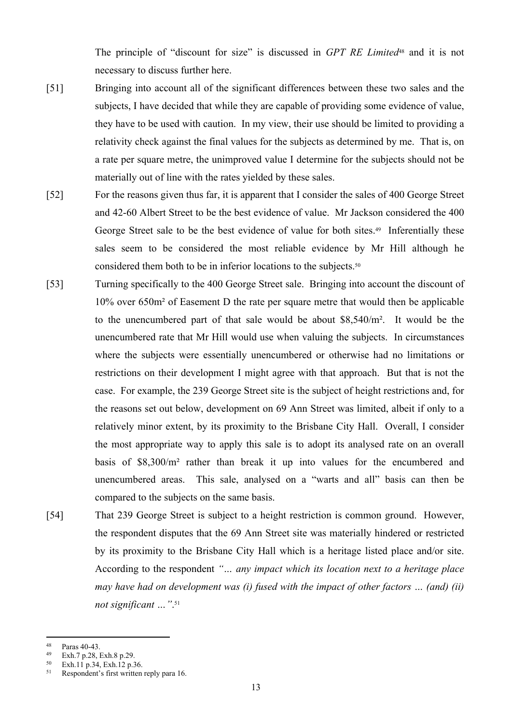The principle of "discount for size" is discussed in *GPT RE Limited*48 and it is not necessary to discuss further here.

- [51] Bringing into account all of the significant differences between these two sales and the subjects, I have decided that while they are capable of providing some evidence of value, they have to be used with caution. In my view, their use should be limited to providing a relativity check against the final values for the subjects as determined by me. That is, on a rate per square metre, the unimproved value I determine for the subjects should not be materially out of line with the rates yielded by these sales.
- [52] For the reasons given thus far, it is apparent that I consider the sales of 400 George Street and 42-60 Albert Street to be the best evidence of value. Mr Jackson considered the 400 George Street sale to be the best evidence of value for both sites.<sup>49</sup> Inferentially these sales seem to be considered the most reliable evidence by Mr Hill although he considered them both to be in inferior locations to the subjects.<sup>50</sup>
- [53] Turning specifically to the 400 George Street sale. Bringing into account the discount of 10% over 650m² of Easement D the rate per square metre that would then be applicable to the unencumbered part of that sale would be about \$8,540/m². It would be the unencumbered rate that Mr Hill would use when valuing the subjects. In circumstances where the subjects were essentially unencumbered or otherwise had no limitations or restrictions on their development I might agree with that approach. But that is not the case. For example, the 239 George Street site is the subject of height restrictions and, for the reasons set out below, development on 69 Ann Street was limited, albeit if only to a relatively minor extent, by its proximity to the Brisbane City Hall. Overall, I consider the most appropriate way to apply this sale is to adopt its analysed rate on an overall basis of \$8,300/m² rather than break it up into values for the encumbered and unencumbered areas. This sale, analysed on a "warts and all" basis can then be compared to the subjects on the same basis.
- [54] That 239 George Street is subject to a height restriction is common ground. However, the respondent disputes that the 69 Ann Street site was materially hindered or restricted by its proximity to the Brisbane City Hall which is a heritage listed place and/or site. According to the respondent *"… any impact which its location next to a heritage place may have had on development was (i) fused with the impact of other factors … (and) (ii) not significant …"*. 51

 $^{48}$  Paras 40-43.<br> $^{49}$  Exh 7 p 28 1

 $\frac{49}{50}$  Exh.7 p.28, Exh.8 p.29.

 $50$  Exh.11 p.34, Exh.12 p.36.

Respondent's first written reply para 16.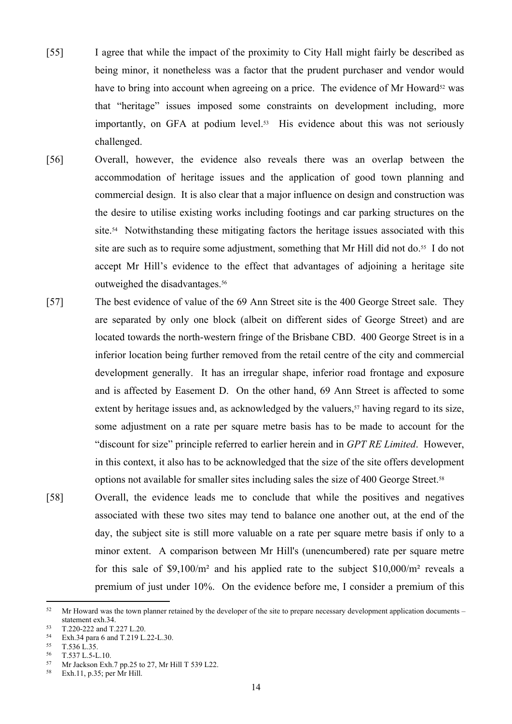- [55] I agree that while the impact of the proximity to City Hall might fairly be described as being minor, it nonetheless was a factor that the prudent purchaser and vendor would have to bring into account when agreeing on a price. The evidence of Mr Howard<sup>52</sup> was that "heritage" issues imposed some constraints on development including, more importantly, on GFA at podium level.<sup>53</sup> His evidence about this was not seriously challenged.
- [56] Overall, however, the evidence also reveals there was an overlap between the accommodation of heritage issues and the application of good town planning and commercial design. It is also clear that a major influence on design and construction was the desire to utilise existing works including footings and car parking structures on the site.54 Notwithstanding these mitigating factors the heritage issues associated with this site are such as to require some adjustment, something that Mr Hill did not do.<sup>55</sup> I do not accept Mr Hill's evidence to the effect that advantages of adjoining a heritage site outweighed the disadvantages.<sup>56</sup>
- [57] The best evidence of value of the 69 Ann Street site is the 400 George Street sale. They are separated by only one block (albeit on different sides of George Street) and are located towards the north-western fringe of the Brisbane CBD. 400 George Street is in a inferior location being further removed from the retail centre of the city and commercial development generally. It has an irregular shape, inferior road frontage and exposure and is affected by Easement D. On the other hand, 69 Ann Street is affected to some extent by heritage issues and, as acknowledged by the valuers,<sup>57</sup> having regard to its size, some adjustment on a rate per square metre basis has to be made to account for the "discount for size" principle referred to earlier herein and in *GPT RE Limited*. However, in this context, it also has to be acknowledged that the size of the site offers development options not available for smaller sites including sales the size of 400 George Street.<sup>58</sup>
- [58] Overall, the evidence leads me to conclude that while the positives and negatives associated with these two sites may tend to balance one another out, at the end of the day, the subject site is still more valuable on a rate per square metre basis if only to a minor extent. A comparison between Mr Hill's (unencumbered) rate per square metre for this sale of \$9,100/m² and his applied rate to the subject \$10,000/m² reveals a premium of just under 10%. On the evidence before me, I consider a premium of this

<sup>52</sup> Mr Howard was the town planner retained by the developer of the site to prepare necessary development application documents – statement exh.34.

 $^{53}$  T.220-222 and T.227 L.20.<br> $^{54}$  Eyh 34 para 6 and T.219 J

Exh.34 para 6 and T.219 L.22-L.30.

 $55$  T.536 L.35.

<sup>&</sup>lt;sup>56</sup> T.537 L.5-L.10.<br>57 Mr. Jackson Exh

<sup>&</sup>lt;sup>57</sup> Mr Jackson Exh.7 pp.25 to 27, Mr Hill T 539 L22.

Exh.11, p.35; per Mr Hill.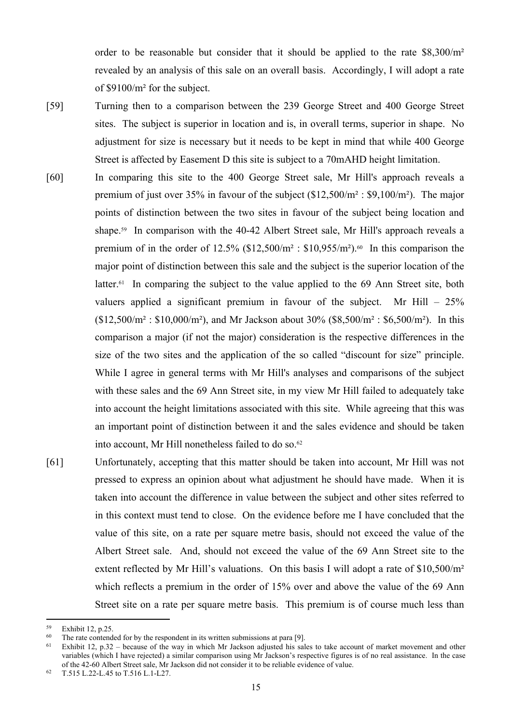order to be reasonable but consider that it should be applied to the rate \$8,300/m² revealed by an analysis of this sale on an overall basis. Accordingly, I will adopt a rate of \$9100/m² for the subject.

- [59] Turning then to a comparison between the 239 George Street and 400 George Street sites. The subject is superior in location and is, in overall terms, superior in shape. No adjustment for size is necessary but it needs to be kept in mind that while 400 George Street is affected by Easement D this site is subject to a 70mAHD height limitation.
- [60] In comparing this site to the 400 George Street sale, Mr Hill's approach reveals a premium of just over 35% in favour of the subject (\$12,500/m² : \$9,100/m²). The major points of distinction between the two sites in favour of the subject being location and shape.<sup>59</sup> In comparison with the 40-42 Albert Street sale, Mr Hill's approach reveals a premium of in the order of  $12.5\%$  (\$12,500/m<sup>2</sup>: \$10,955/m<sup>2</sup>).<sup>60</sup> In this comparison the major point of distinction between this sale and the subject is the superior location of the latter.<sup>61</sup> In comparing the subject to the value applied to the 69 Ann Street site, both valuers applied a significant premium in favour of the subject. Mr Hill  $-25\%$  $($12,500/m^2 : $10,000/m^2)$ , and Mr Jackson about 30%  $($8,500/m^2 : $6,500/m^2)$ . In this comparison a major (if not the major) consideration is the respective differences in the size of the two sites and the application of the so called "discount for size" principle. While I agree in general terms with Mr Hill's analyses and comparisons of the subject with these sales and the 69 Ann Street site, in my view Mr Hill failed to adequately take into account the height limitations associated with this site. While agreeing that this was an important point of distinction between it and the sales evidence and should be taken into account, Mr Hill nonetheless failed to do so.<sup>62</sup>
- [61] Unfortunately, accepting that this matter should be taken into account, Mr Hill was not pressed to express an opinion about what adjustment he should have made. When it is taken into account the difference in value between the subject and other sites referred to in this context must tend to close. On the evidence before me I have concluded that the value of this site, on a rate per square metre basis, should not exceed the value of the Albert Street sale. And, should not exceed the value of the 69 Ann Street site to the extent reflected by Mr Hill's valuations. On this basis I will adopt a rate of \$10,500/m<sup>2</sup> which reflects a premium in the order of 15% over and above the value of the 69 Ann Street site on a rate per square metre basis. This premium is of course much less than

<sup>59</sup> Exhibit 12, p.25.

 $60$  The rate contended for by the respondent in its written submissions at para [9].

<sup>&</sup>lt;sup>61</sup> Exhibit 12, p.32 – because of the way in which Mr Jackson adjusted his sales to take account of market movement and other variables (which I have rejected) a similar comparison using Mr Jackson's respective figures is of no real assistance. In the case of the 42-60 Albert Street sale, Mr Jackson did not consider it to be reliable evidence of value.

<sup>62</sup> T.515 L.22-L.45 to T.516 L.1-L27.